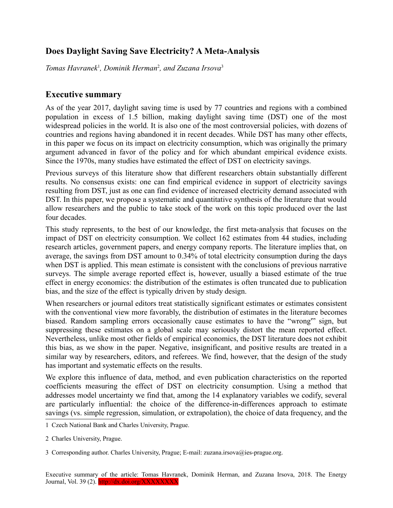## **Does Daylight Saving Save Electricity? A Meta-Analysis**

*Tomas Havranek*[1](#page-0-0) *, Dominik Herman*[2](#page-0-1) *, and Zuzana Irsova*[3](#page-0-2)

## **Executive summary**

As of the year 2017, daylight saving time is used by 77 countries and regions with a combined population in excess of 1.5 billion, making daylight saving time (DST) one of the most widespread policies in the world. It is also one of the most controversial policies, with dozens of countries and regions having abandoned it in recent decades. While DST has many other effects, in this paper we focus on its impact on electricity consumption, which was originally the primary argument advanced in favor of the policy and for which abundant empirical evidence exists. Since the 1970s, many studies have estimated the effect of DST on electricity savings.

Previous surveys of this literature show that different researchers obtain substantially different results. No consensus exists: one can find empirical evidence in support of electricity savings resulting from DST, just as one can find evidence of increased electricity demand associated with DST. In this paper, we propose a systematic and quantitative synthesis of the literature that would allow researchers and the public to take stock of the work on this topic produced over the last four decades.

This study represents, to the best of our knowledge, the first meta-analysis that focuses on the impact of DST on electricity consumption. We collect 162 estimates from 44 studies, including research articles, government papers, and energy company reports. The literature implies that, on average, the savings from DST amount to 0.34% of total electricity consumption during the days when DST is applied. This mean estimate is consistent with the conclusions of previous narrative surveys. The simple average reported effect is, however, usually a biased estimate of the true effect in energy economics: the distribution of the estimates is often truncated due to publication bias, and the size of the effect is typically driven by study design.

When researchers or journal editors treat statistically significant estimates or estimates consistent with the conventional view more favorably, the distribution of estimates in the literature becomes biased. Random sampling errors occasionally cause estimates to have the "wrong'" sign, but suppressing these estimates on a global scale may seriously distort the mean reported effect. Nevertheless, unlike most other fields of empirical economics, the DST literature does not exhibit this bias, as we show in the paper. Negative, insignificant, and positive results are treated in a similar way by researchers, editors, and referees. We find, however, that the design of the study has important and systematic effects on the results.

We explore this influence of data, method, and even publication characteristics on the reported coefficients measuring the effect of DST on electricity consumption. Using a method that addresses model uncertainty we find that, among the 14 explanatory variables we codify, several are particularly influential: the choice of the difference-in-differences approach to estimate savings (vs. simple regression, simulation, or extrapolation), the choice of data frequency, and the

<span id="page-0-0"></span>1 Czech National Bank and Charles University, Prague.

<span id="page-0-1"></span><sup>2</sup> Charles University, Prague.

<span id="page-0-2"></span><sup>3</sup> Corresponding author. Charles University, Prague; E-mail: zuzana.irsova@ies-prague.org.